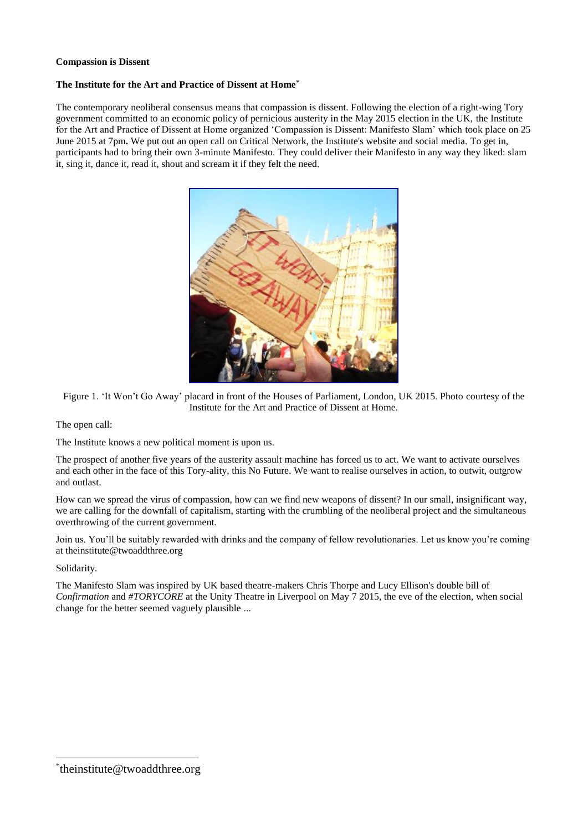# **Compassion is Dissent**

# **The Institute for the Art and Practice of Dissent at Home\***

The contemporary neoliberal consensus means that compassion is dissent. Following the election of a right-wing Tory government committed to an economic policy of pernicious austerity in the May 2015 election in the UK, the Institute for the Art and Practice of Dissent at Home organized 'Compassion is Dissent: Manifesto Slam' which took place on 25 June 2015 at 7pm**.** We put out an open call on Critical Network, the Institute's website and social media. To get in, participants had to bring their own 3-minute Manifesto. They could deliver their Manifesto in any way they liked: slam it, sing it, dance it, read it, shout and scream it if they felt the need.



Figure 1. 'It Won't Go Away' placard in front of the Houses of Parliament, London, UK 2015. Photo courtesy of the Institute for the Art and Practice of Dissent at Home.

The open call:

The Institute knows a new political moment is upon us.

The prospect of another five years of the austerity assault machine has forced us to act. We want to activate ourselves and each other in the face of this Tory-ality, this No Future. We want to realise ourselves in action, to outwit, outgrow and outlast.

How can we spread the virus of compassion, how can we find new weapons of dissent? In our small, insignificant way, we are calling for the downfall of capitalism, starting with the crumbling of the neoliberal project and the simultaneous overthrowing of the current government.

Join us. You'll be suitably rewarded with drinks and the company of fellow revolutionaries. Let us know you're coming at [theinstitute@twoaddthree.org](mailto:theinstitute@twoaddthree.org#_blank)

### Solidarity.

 $\overline{a}$ 

The Manifesto Slam was inspired by UK based theatre-makers Chris Thorpe and Lucy Ellison's double bill of *Confirmation* and *#TORYCORE* at the Unity Theatre in Liverpool on May 7 2015, the eve of the election, when social change for the better seemed vaguely plausible ...

<sup>\*</sup> theinstitute@twoaddthree.org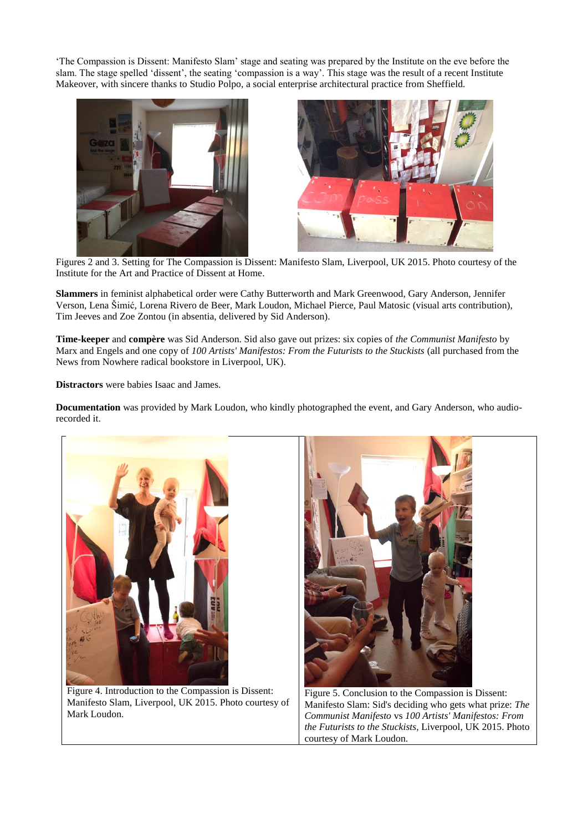'The Compassion is Dissent: Manifesto Slam' stage and seating was prepared by the Institute on the eve before the slam. The stage spelled 'dissent', the seating 'compassion is a way'. This stage was the result of a recent Institute Makeover, with sincere thanks to [Studio Polpo,](http://www.studiopolpo.com/#_blank) a social enterprise architectural practice from Sheffield.





Figures 2 and 3. Setting for The Compassion is Dissent: Manifesto Slam, Liverpool, UK 2015. Photo courtesy of the Institute for the Art and Practice of Dissent at Home.

**Slammers** in feminist alphabetical order were Cathy Butterworth and Mark Greenwood, Gary Anderson, Jennifer Verson, Lena Šimić, Lorena Rivero de Beer, Mark Loudon, Michael Pierce, Paul Matosic (visual arts contribution), Tim Jeeves and Zoe Zontou (in absentia, delivered by Sid Anderson).

**Time-keeper** and **compère** was Sid Anderson. Sid also gave out prizes: six copies of *the Communist Manifesto* by Marx and Engels and one copy of *100 Artists' Manifestos: From the Futurists to the Stuckists* (all purchased from the News from Nowhere radical bookstore in Liverpool, UK).

**Distractors** were babies Isaac and James.

**Documentation** was provided by Mark Loudon, who kindly photographed the event, and Gary Anderson, who audiorecorded it.



Figure 4. Introduction to the Compassion is Dissent: Manifesto Slam, Liverpool, UK 2015. Photo courtesy of Mark Loudon.



Figure 5. Conclusion to the Compassion is Dissent: Manifesto Slam: Sid's deciding who gets what prize: *The Communist Manifesto* vs *100 Artists' Manifestos: From the Futurists to the Stuckists,* Liverpool, UK 2015. Photo courtesy of Mark Loudon.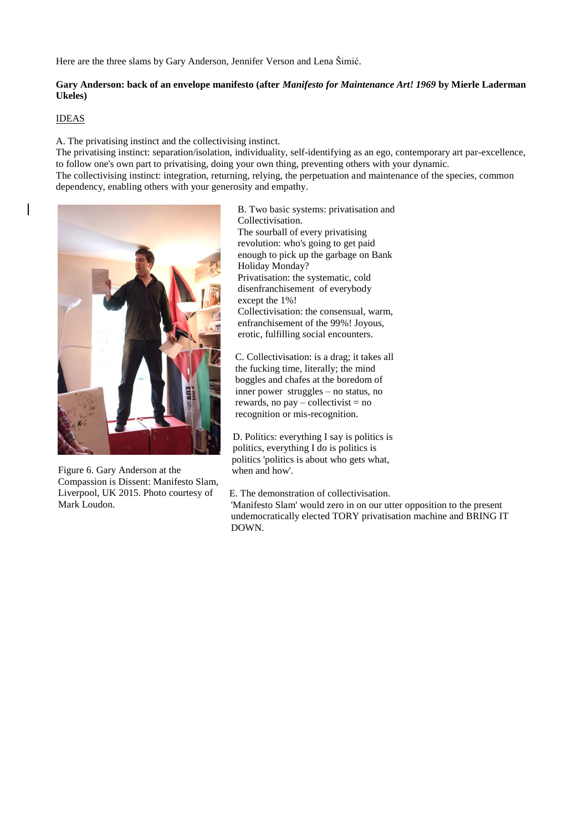Here are the three slams by Gary Anderson, Jennifer Verson and Lena Šimić.

# **Gary Anderson: back of an envelope manifesto (after** *Manifesto for Maintenance Art! 1969* **by Mierle Laderman Ukeles)**

# IDEAS

A. The privatising instinct and the collectivising instinct.

The privatising instinct: separation/isolation, individuality, self-identifying as an ego, contemporary art par-excellence, to follow one's own part to privatising, doing your own thing, preventing others with your dynamic. The collectivising instinct: integration, returning, relying, the perpetuation and maintenance of the species, common dependency, enabling others with your generosity and empathy.



Figure 6. Gary Anderson at the Compassion is Dissent: Manifesto Slam, Liverpool, UK 2015. Photo courtesy of Mark Loudon.

 B. Two basic systems: privatisation and Collectivisation. The sourball of every privatising revolution: who's going to get paid enough to pick up the garbage on Bank Holiday Monday? Privatisation: the systematic, cold disenfranchisement of everybody except the 1%! Collectivisation: the consensual, warm, enfranchisement of the 99%! Joyous, erotic, fulfilling social encounters.

 C. Collectivisation: is a drag; it takes all the fucking time, literally; the mind boggles and chafes at the boredom of inner power struggles – no status, no rewards, no  $pay - collectiveist = no$ recognition or mis-recognition.

 D. Politics: everything I say is politics is politics, everything I do is politics is politics 'politics is about who gets what, when and how'.

E. The demonstration of collectivisation.

'Manifesto Slam' would zero in on our utter opposition to the present undemocratically elected TORY privatisation machine and BRING IT DOWN.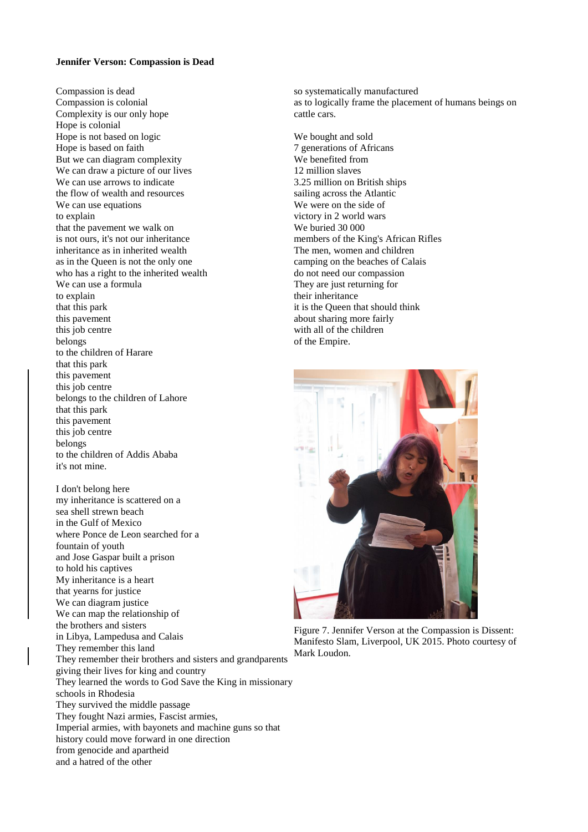## **Jennifer Verson: Compassion is Dead**

Compassion is dead Compassion is colonial Complexity is our only hope Hope is colonial Hope is not based on logic Hope is based on faith But we can diagram complexity We can draw a picture of our lives We can use arrows to indicate the flow of wealth and resources We can use equations to explain that the pavement we walk on is not ours, it's not our inheritance inheritance as in inherited wealth as in the Queen is not the only one who has a right to the inherited wealth We can use a formula to explain that this park this pavement this job centre belongs to the children of Harare that this park this pavement this job centre belongs to the children of Lahore that this park this pavement this job centre belongs to the children of Addis Ababa it's not mine.

I don't belong here my inheritance is scattered on a sea shell strewn beach in the Gulf of Mexico where Ponce de Leon searched for a fountain of youth and Jose Gaspar built a prison to hold his captives My inheritance is a heart that yearns for justice We can diagram justice We can map the relationship of the brothers and sisters in Libya, Lampedusa and Calais They remember this land They remember their brothers and sisters and grandparents giving their lives for king and country They learned the words to God Save the King in missionary schools in Rhodesia They survived the middle passage They fought Nazi armies, Fascist armies, Imperial armies, with bayonets and machine guns so that history could move forward in one direction from genocide and apartheid and a hatred of the other

so systematically manufactured as to logically frame the placement of humans beings on cattle cars.

We bought and sold 7 generations of Africans We benefited from 12 million slaves 3.25 million on British ships sailing across the Atlantic We were on the side of victory in 2 world wars We buried 30 000 members of the King's African Rifles The men, women and children camping on the beaches of Calais do not need our compassion They are just returning for their inheritance it is the Queen that should think about sharing more fairly with all of the children of the Empire.



Figure 7. Jennifer Verson at the Compassion is Dissent: Manifesto Slam, Liverpool, UK 2015. Photo courtesy of Mark Loudon.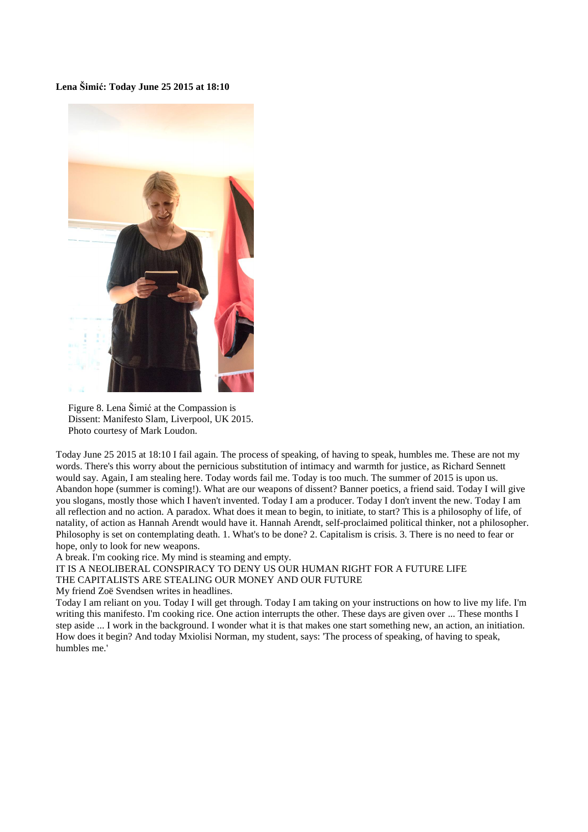**Lena Šimić: Today June 25 2015 at 18:10**



Figure 8. Lena Šimić at the Compassion is Dissent: Manifesto Slam, Liverpool, UK 2015. Photo courtesy of Mark Loudon.

Today June 25 2015 at 18:10 I fail again. The process of speaking, of having to speak, humbles me. These are not my words. There's this worry about the pernicious substitution of intimacy and warmth for justice, as Richard Sennett would say. Again, I am stealing here. Today words fail me. Today is too much. The summer of 2015 is upon us. Abandon hope (summer is coming!). What are our weapons of dissent? Banner poetics, a friend said. Today I will give you slogans, mostly those which I haven't invented. Today I am a producer. Today I don't invent the new. Today I am all reflection and no action. A paradox. What does it mean to begin, to initiate, to start? This is a philosophy of life, of natality, of action as Hannah Arendt would have it. Hannah Arendt, self-proclaimed political thinker, not a philosopher. Philosophy is set on contemplating death. 1. What's to be done? 2. Capitalism is crisis. 3. There is no need to fear or hope, only to look for new weapons.

A break. I'm cooking rice. My mind is steaming and empty.

IT IS A NEOLIBERAL CONSPIRACY TO DENY US OUR HUMAN RIGHT FOR A FUTURE LIFE THE CAPITALISTS ARE STEALING OUR MONEY AND OUR FUTURE

My friend Zoë Svendsen writes in headlines.

Today I am reliant on you. Today I will get through. Today I am taking on your instructions on how to live my life. I'm writing this manifesto. I'm cooking rice. One action interrupts the other. These days are given over ... These months I step aside ... I work in the background. I wonder what it is that makes one start something new, an action, an initiation. How does it begin? And today Mxiolisi Norman, my student, says: 'The process of speaking, of having to speak, humbles me.'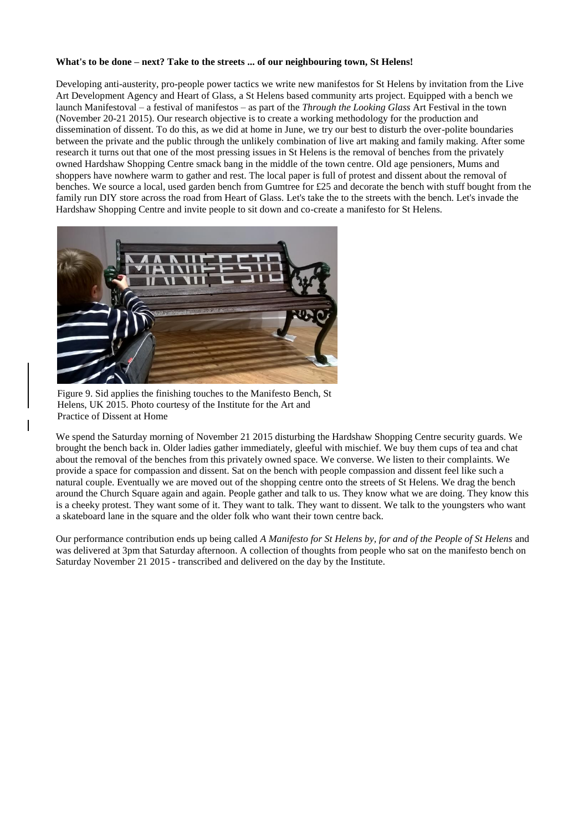## **What's to be done – next? Take to the streets ... of our neighbouring town, St Helens!**

Developing anti-austerity, pro-people power tactics we write new manifestos for St Helens by invitation from the Live Art Development Agency and Heart of Glass, a St Helens based community arts project. Equipped with a bench we launch Manifestoval – a festival of manifestos – as part of the *Through the Looking Glass* Art Festival in the town (November 20-21 2015). Our research objective is to create a working methodology for the production and dissemination of dissent. To do this, as we did at home in June, we try our best to disturb the over-polite boundaries between the private and the public through the unlikely combination of live art making and family making. After some research it turns out that one of the most pressing issues in St Helens is the removal of benches from the privately owned Hardshaw Shopping Centre smack bang in the middle of the town centre. Old age pensioners, Mums and shoppers have nowhere warm to gather and rest. The local paper is full of protest and dissent about the removal of benches. We source a local, used garden bench from Gumtree for £25 and decorate the bench with stuff bought from the family run DIY store across the road from Heart of Glass. Let's take the to the streets with the bench. Let's invade the Hardshaw Shopping Centre and invite people to sit down and co-create a manifesto for St Helens.



Figure 9. Sid applies the finishing touches to the Manifesto Bench, St Helens, UK 2015. Photo courtesy of the Institute for the Art and Practice of Dissent at Home

We spend the Saturday morning of November 21 2015 disturbing the Hardshaw Shopping Centre security guards. We brought the bench back in. Older ladies gather immediately, gleeful with mischief. We buy them cups of tea and chat about the removal of the benches from this privately owned space. We converse. We listen to their complaints. We provide a space for compassion and dissent. Sat on the bench with people compassion and dissent feel like such a natural couple. Eventually we are moved out of the shopping centre onto the streets of St Helens. We drag the bench around the Church Square again and again. People gather and talk to us. They know what we are doing. They know this is a cheeky protest. They want some of it. They want to talk. They want to dissent. We talk to the youngsters who want a skateboard lane in the square and the older folk who want their town centre back.

Our performance contribution ends up being called *A Manifesto for St Helens by, for and of the People of St Helens* and was delivered at 3pm that Saturday afternoon. A collection of thoughts from people who sat on the manifesto bench on Saturday November 21 2015 - transcribed and delivered on the day by the Institute.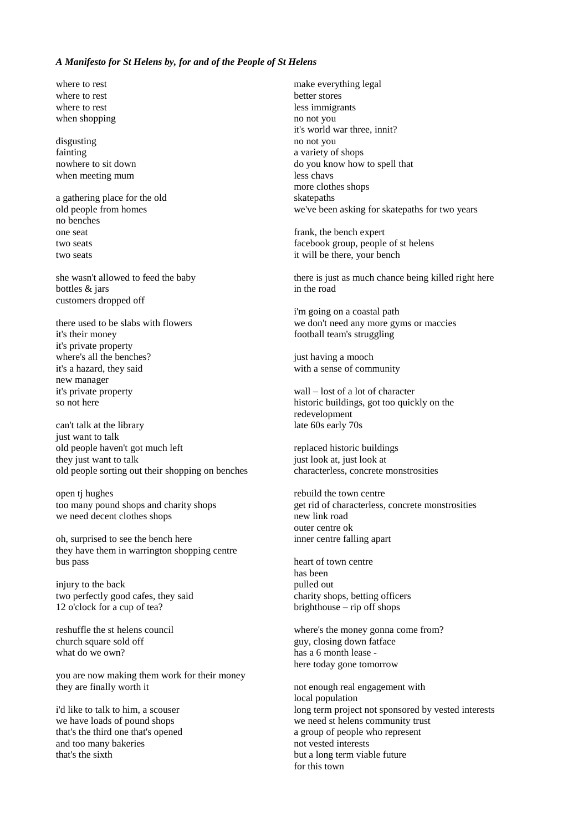## *A Manifesto for St Helens by, for and of the People of St Helens*

where to rest where to rest where to rest when shopping

disgusting fainting nowhere to sit down when meeting mum

a gathering place for the old old people from homes no benches one seat two seats two seats

she wasn't allowed to feed the baby bottles & jars customers dropped off

there used to be slabs with flowers it's their money it's private property where's all the benches? it's a hazard, they said new manager it's private property so not here

can't talk at the library just want to talk old people haven't got much left they just want to talk old people sorting out their shopping on benches

open tj hughes too many pound shops and charity shops we need decent clothes shops

oh, surprised to see the bench here they have them in warrington shopping centre bus pass

injury to the back two perfectly good cafes, they said 12 o'clock for a cup of tea?

reshuffle the st helens council church square sold off what do we own?

you are now making them work for their money they are finally worth it

i'd like to talk to him, a scouser we have loads of pound shops that's the third one that's opened and too many bakeries that's the sixth

make everything legal better stores less immigrants no not you it's world war three, innit? no not you a variety of shops do you know how to spell that less chavs more clothes shops skatepaths we've been asking for skatepaths for two years

frank, the bench expert facebook group, people of st helens it will be there, your bench

there is just as much chance being killed right here in the road

i'm going on a coastal path we don't need any more gyms or maccies football team's struggling

just having a mooch with a sense of community

wall – lost of a lot of character historic buildings, got too quickly on the redevelopment late 60s early 70s

replaced historic buildings just look at, just look at characterless, concrete monstrosities

rebuild the town centre get rid of characterless, concrete monstrosities new link road outer centre ok inner centre falling apart

heart of town centre has been pulled out charity shops, betting officers brighthouse – rip off shops

where's the money gonna come from? guy, closing down fatface has a 6 month lease here today gone tomorrow

not enough real engagement with local population long term project not sponsored by vested interests we need st helens community trust a group of people who represent not vested interests but a long term viable future for this town